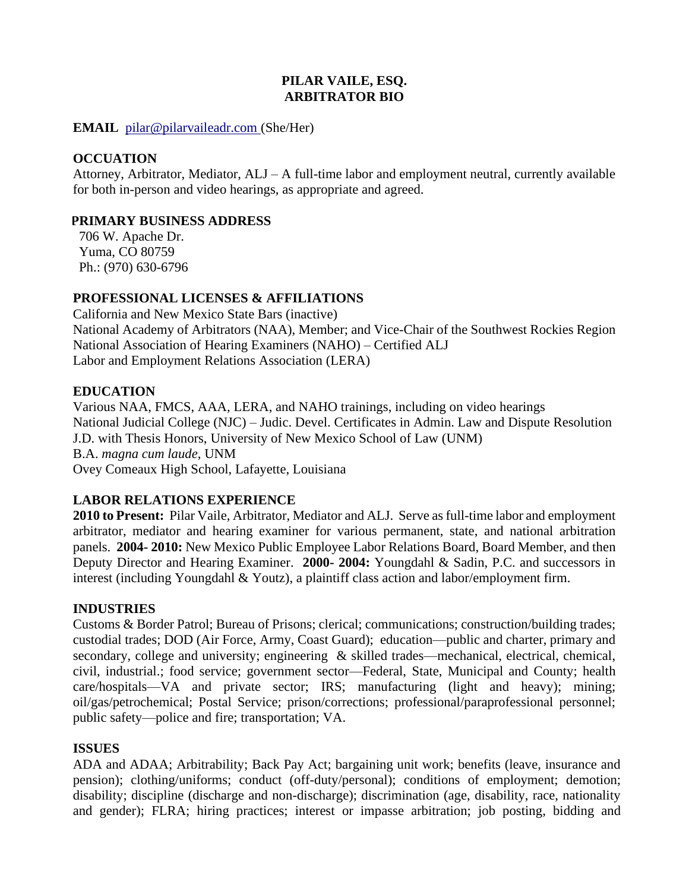# **PILAR VAILE, ESQ. ARBITRATOR BIO**

**EMAIL** [pilar@pilarvaileadr.com](mailto:pilar@pilarvaileadr.com) (She/Her)

#### **OCCUATION**

Attorney, Arbitrator, Mediator, ALJ – A full-time labor and employment neutral, currently available for both in-person and video hearings, as appropriate and agreed.

#### **PRIMARY BUSINESS ADDRESS**

706 W. Apache Dr. Yuma, CO 80759 Ph.: (970) 630-6796

# **PROFESSIONAL LICENSES & AFFILIATIONS**

California and New Mexico State Bars (inactive) National Academy of Arbitrators (NAA), Member; and Vice-Chair of the Southwest Rockies Region National Association of Hearing Examiners (NAHO) – Certified ALJ Labor and Employment Relations Association (LERA)

#### **EDUCATION**

Various NAA, FMCS, AAA, LERA, and NAHO trainings, including on video hearings National Judicial College (NJC) – Judic. Devel. Certificates in Admin. Law and Dispute Resolution J.D. with Thesis Honors, University of New Mexico School of Law (UNM) B.A. *magna cum laude,* UNM Ovey Comeaux High School, Lafayette, Louisiana

# **LABOR RELATIONS EXPERIENCE**

**2010 to Present:** Pilar Vaile, Arbitrator, Mediator and ALJ. Serve as full-time labor and employment arbitrator, mediator and hearing examiner for various permanent, state, and national arbitration panels. **2004- 2010:** New Mexico Public Employee Labor Relations Board, Board Member, and then Deputy Director and Hearing Examiner. **2000- 2004:** Youngdahl & Sadin, P.C. and successors in interest (including Youngdahl & Youtz), a plaintiff class action and labor/employment firm.

#### **INDUSTRIES**

Customs & Border Patrol; Bureau of Prisons; clerical; communications; construction/building trades; custodial trades; DOD (Air Force, Army, Coast Guard); education—public and charter, primary and secondary, college and university; engineering & skilled trades—mechanical, electrical, chemical, civil, industrial.; food service; government sector—Federal, State, Municipal and County; health care/hospitals—VA and private sector; IRS; manufacturing (light and heavy); mining; oil/gas/petrochemical; Postal Service; prison/corrections; professional/paraprofessional personnel; public safety—police and fire; transportation; VA.

# **ISSUES**

ADA and ADAA; Arbitrability; Back Pay Act; bargaining unit work; benefits (leave, insurance and pension); clothing/uniforms; conduct (off-duty/personal); conditions of employment; demotion; disability; discipline (discharge and non-discharge); discrimination (age, disability, race, nationality and gender); FLRA; hiring practices; interest or impasse arbitration; job posting, bidding and